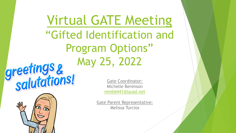Virtual GATE Meeting "Gifted Identification and Program Options"





Gate Coordinator: Michelle Berenson [mmb6441@lausd.net](mailto:mmb6441@lausd.net)

Gate Parent Representative: Melissa Turcios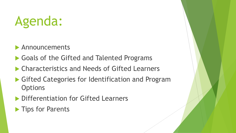## Agenda:

- Announcements
- Goals of the Gifted and Talented Programs
- Characteristics and Needs of Gifted Learners
- ▶ Gifted Categories for Identification and Program **Options**
- **Differentiation for Gifted Learners**
- **Tips for Parents**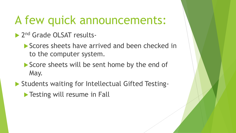## A few quick announcements:

- 2<sup>nd</sup> Grade OLSAT results-
	- Scores sheets have arrived and been checked in to the computer system.
	- Score sheets will be sent home by the end of May.
- ▶ Students waiting for Intellectual Gifted Testing-
	- **Testing will resume in Fall**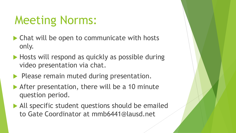## Meeting Norms:

- ▶ Chat will be open to communicate with hosts only.
- Hosts will respond as quickly as possible during video presentation via chat.
- $\blacktriangleright$  Please remain muted during presentation.
- After presentation, there will be a 10 minute question period.
- All specific student questions should be emailed to Gate Coordinator at mmb6441@lausd.net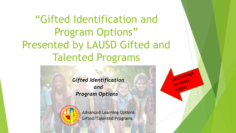"Gifted Identification and Program Options" Presented by LAUSD Gifted and Talented Programs

> **Gifted Identification** and **Program Options**



**Advanced Learning Options** Gifted/Talented Programs

to "<br>video.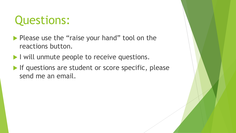## Questions:

- Please use the "raise your hand" tool on the reactions button.
- I will unmute people to receive questions.
- If questions are student or score specific, please send me an email.